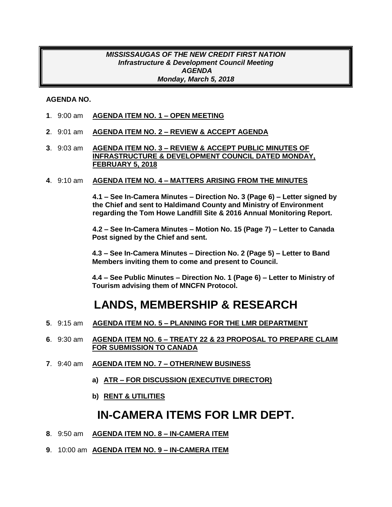#### *MISSISSAUGAS OF THE NEW CREDIT FIRST NATION Infrastructure & Development Council Meeting AGENDA Monday, March 5, 2018*

#### **AGENDA NO.**

- **1**. 9:00 am **AGENDA ITEM NO. 1 – OPEN MEETING**
- **2**. 9:01 am **AGENDA ITEM NO. 2 – REVIEW & ACCEPT AGENDA**
- **3**. 9:03 am **AGENDA ITEM NO. 3 – REVIEW & ACCEPT PUBLIC MINUTES OF INFRASTRUCTURE & DEVELOPMENT COUNCIL DATED MONDAY, FEBRUARY 5, 2018**
- **4**. 9:10 am **AGENDA ITEM NO. 4 – MATTERS ARISING FROM THE MINUTES**

**4.1 – See In-Camera Minutes – Direction No. 3 (Page 6) – Letter signed by the Chief and sent to Haldimand County and Ministry of Environment regarding the Tom Howe Landfill Site & 2016 Annual Monitoring Report.**

**4.2 – See In-Camera Minutes – Motion No. 15 (Page 7) – Letter to Canada Post signed by the Chief and sent.**

**4.3 – See In-Camera Minutes – Direction No. 2 (Page 5) – Letter to Band Members inviting them to come and present to Council.**

**4.4 – See Public Minutes – Direction No. 1 (Page 6) – Letter to Ministry of Tourism advising them of MNCFN Protocol.**

## **LANDS, MEMBERSHIP & RESEARCH**

- **5**. 9:15 am **AGENDA ITEM NO. 5 – PLANNING FOR THE LMR DEPARTMENT**
- **6**. 9:30 am **AGENDA ITEM NO. 6 – TREATY 22 & 23 PROPOSAL TO PREPARE CLAIM FOR SUBMISSION TO CANADA**
- **7**. 9:40 am **AGENDA ITEM NO. 7 – OTHER/NEW BUSINESS**
	- **a) ATR – FOR DISCUSSION (EXECUTIVE DIRECTOR)**
	- **b) RENT & UTILITIES**

#### **IN-CAMERA ITEMS FOR LMR DEPT.**

- **8**. 9:50 am **AGENDA ITEM NO. 8 – IN-CAMERA ITEM**
- **9**. 10:00 am **AGENDA ITEM NO. 9 – IN-CAMERA ITEM**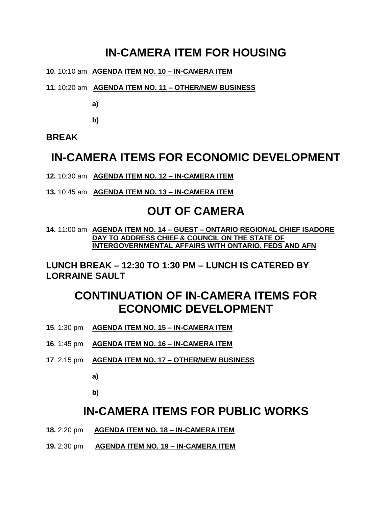# **IN-CAMERA ITEM FOR HOUSING**

- **10**. 10:10 am **AGENDA ITEM NO. 10 – IN-CAMERA ITEM**
- **11.** 10:20 am **AGENDA ITEM NO. 11 – OTHER/NEW BUSINESS**

**a)**

**b)**

**BREAK**

### **IN-CAMERA ITEMS FOR ECONOMIC DEVELOPMENT**

**12.** 10:30 am **AGENDA ITEM NO. 12 – IN-CAMERA ITEM** 

**13.** 10:45 am **AGENDA ITEM NO. 13 – IN-CAMERA ITEM** 

### **OUT OF CAMERA**

**14.** 11:00 am **AGENDA ITEM NO. 14 – GUEST – ONTARIO REGIONAL CHIEF ISADORE DAY TO ADDRESS CHIEF & COUNCIL ON THE STATE OF INTERGOVERNMENTAL AFFAIRS WITH ONTARIO, FEDS AND AFN** 

**LUNCH BREAK – 12:30 TO 1:30 PM – LUNCH IS CATERED BY LORRAINE SAULT**

# **CONTINUATION OF IN-CAMERA ITEMS FOR ECONOMIC DEVELOPMENT**

- **15**. 1:30 pm **AGENDA ITEM NO. 15 – IN-CAMERA ITEM**
- **16**. 1:45 pm **AGENDA ITEM NO. 16 – IN-CAMERA ITEM**
- **17**. 2:15 pm **AGENDA ITEM NO. 17 – OTHER/NEW BUSINESS**

**a)**

**b)**

#### **IN-CAMERA ITEMS FOR PUBLIC WORKS**

- **18.** 2:20 pm **AGENDA ITEM NO. 18 – IN-CAMERA ITEM**
- **19.** 2:30 pm **AGENDA ITEM NO. 19 – IN-CAMERA ITEM**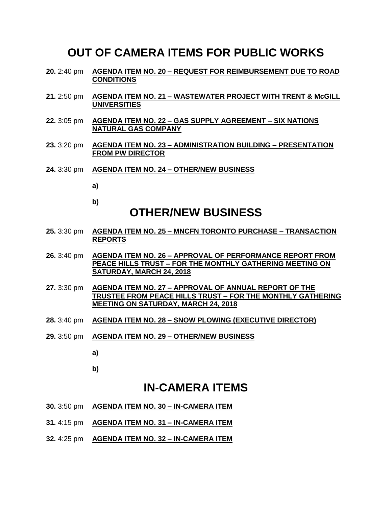#### **OUT OF CAMERA ITEMS FOR PUBLIC WORKS**

- **20.** 2:40 pm **AGENDA ITEM NO. 20 – REQUEST FOR REIMBURSEMENT DUE TO ROAD CONDITIONS**
- **21.** 2:50 pm **AGENDA ITEM NO. 21 – WASTEWATER PROJECT WITH TRENT & McGILL UNIVERSITIES**
- **22.** 3:05 pm **AGENDA ITEM NO. 22 – GAS SUPPLY AGREEMENT – SIX NATIONS NATURAL GAS COMPANY**
- **23.** 3:20 pm **AGENDA ITEM NO. 23 – ADMINISTRATION BUILDING – PRESENTATION FROM PW DIRECTOR**
- **24.** 3:30 pm **AGENDA ITEM NO. 24 – OTHER/NEW BUSINESS**
	- **a)**
	- **b)**

## **OTHER/NEW BUSINESS**

- **25.** 3:30 pm **AGENDA ITEM NO. 25 – MNCFN TORONTO PURCHASE – TRANSACTION REPORTS**
- **26.** 3:40 pm **AGENDA ITEM NO. 26 – APPROVAL OF PERFORMANCE REPORT FROM PEACE HILLS TRUST – FOR THE MONTHLY GATHERING MEETING ON SATURDAY, MARCH 24, 2018**
- **27.** 3:30 pm **AGENDA ITEM NO. 27 – APPROVAL OF ANNUAL REPORT OF THE TRUSTEE FROM PEACE HILLS TRUST – FOR THE MONTHLY GATHERING MEETING ON SATURDAY, MARCH 24, 2018**
- **28.** 3:40 pm **AGENDA ITEM NO. 28 – SNOW PLOWING (EXECUTIVE DIRECTOR)**
- **29.** 3:50 pm **AGENDA ITEM NO. 29 – OTHER/NEW BUSINESS**
	- **a)**

**b)**

#### **IN-CAMERA ITEMS**

- **30.** 3:50 pm **AGENDA ITEM NO. 30 – IN-CAMERA ITEM**
- **31.** 4:15 pm **AGENDA ITEM NO. 31 – IN-CAMERA ITEM**
- **32.** 4:25 pm **AGENDA ITEM NO. 32 – IN-CAMERA ITEM**